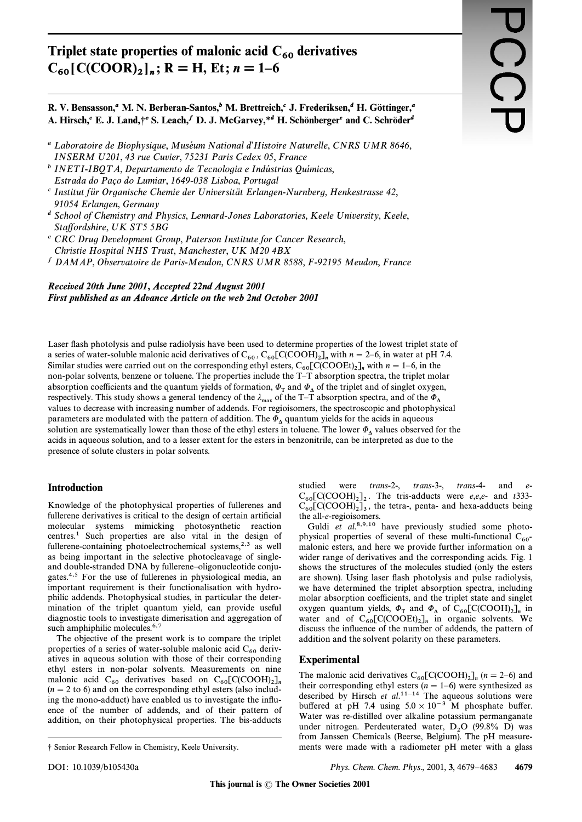# Triplet state properties of malonic acid  $C_{60}$  derivatives  $C_{60}$ [C(COOR)<sub>2</sub>]<sub>n</sub>; R = H, Et; n = 1-6

R. V. Bensasson,<sup>a</sup> M. N. Berberan-Santos,<sup>b</sup> M. Brettreich,<sup>c</sup> J. Frederiksen,<sup>d</sup> H. Göttinger,<sup>a</sup> A. Hirsch, C. J. Land, +e S. Leach, D. J. McGarvey, \*d H. Schönbergerc and C. Schröderd

- <sup>a</sup> Laboratoire de Biophysique, Muséum National d'Histoire Naturelle, CNRS UMR 8646, INSERM U201, 43 rue Cuvier, 75231 Paris Cedex 05, France
- <sup>b</sup> INETI-IBOTA, Departamento de Tecnologia e Indústrias Químicas, Estrada do Paco do Lumiar, 1649-038 Lisboa, Portugal
- $\epsilon$  Institut für Organische Chemie der Universität Erlangen-Nurnberg, Henkestrasse 42, 91054 Erlangen, Germany
- <sup>d</sup> School of Chemistry and Physics, Lennard-Jones Laboratories, Keele University, Keele, Staffordshire, UK ST5 5BG
- <sup>e</sup> CRC Drug Development Group, Paterson Institute for Cancer Research, Christie Hospital NHS Trust, Manchester, UK M20 4BX
- <sup>f</sup> DAMAP, Observatoire de Paris-Meudon, CNRS UMR 8588, F-92195 Meudon, France

# Received 20th June 2001, Accepted 22nd August 2001 First published as an Advance Article on the web 2nd October 2001

Laser flash photolysis and pulse radiolysis have been used to determine properties of the lowest triplet state of a series of water-soluble malonic acid derivatives of  $C_{60}$ ,  $C_{60}$ [C(COOH)<sub>2</sub>]<sub>n</sub> with  $n = 2-6$ , in water at pH 7.4. Similar studies were carried out on the corresponding ethyl esters,  $C_{60}$ [C(COOEt)<sub>2</sub>]<sub>n</sub> with  $n = 1-6$ , in the non-polar solvents, benzene or toluene. The properties include the T-T absorption spectra, the triplet molar absorption coefficients and the quantum yields of formation,  $\Phi_T$  and  $\Phi_{\Delta}$  of the triplet and of singlet oxygen, respectively. This study shows a general tendency of the  $\lambda_{\text{max}}$  of the T-T absorption spectra, and of the  $\Phi_{\Delta}$ values to decrease with increasing number of addends. For regioisomers, the spectroscopic and photophysical parameters are modulated with the pattern of addition. The  $\Phi_{\Lambda}$  quantum yields for the acids in aqueous solution are systematically lower than those of the ethyl esters in toluene. The lower  $\Phi_A$  values observed for the acids in aqueous solution, and to a lesser extent for the esters in benzonitrile, can be interpreted as due to the presence of solute clusters in polar solvents.

# **Introduction**

Knowledge of the photophysical properties of fullerenes and fullerene derivatives is critical to the design of certain artificial molecular systems mimicking photosynthetic reaction centres.<sup>1</sup> Such properties are also vital in the design of fullerene-containing photoelectrochemical systems,<sup>2,3</sup> as well as being important in the selective photocleavage of singleand double-stranded DNA by fullerene-oligonucleotide conjugates.<sup>4,5</sup> For the use of fullerenes in physiological media, an important requirement is their functionalisation with hydrophilic addends. Photophysical studies, in particular the determination of the triplet quantum yield, can provide useful diagnostic tools to investigate dimerisation and aggregation of such amphiphilic molecules.<sup>6,7</sup>

The objective of the present work is to compare the triplet properties of a series of water-soluble malonic acid  $C_{60}$  derivatives in aqueous solution with those of their corresponding ethyl esters in non-polar solvents. Measurements on nine malonic acid C<sub>60</sub> derivatives based on C<sub>60</sub>[C(COOH)<sub>2</sub>]<sub>n</sub>  $(n = 2$  to 6) and on the corresponding ethyl esters (also including the mono-adduct) have enabled us to investigate the influence of the number of addends, and of their pattern of addition, on their photophysical properties. The bis-adducts

studied  $trans-2-, trans-3-,$ trans-4and were  $C_{60}$ [C(COOH)<sub>2</sub>]<sub>2</sub>. The tris-adducts were *e,e,e*- and t333- $C_{60}$ [C(COOH)<sub>2</sub>]<sub>3</sub>, the tetra-, penta- and hexa-adducts being the all-e-regioisomers.

Guldi et al.<sup>8,9,10</sup> have previously studied some photophysical properties of several of these multi-functional  $C_{60}$ malonic esters, and here we provide further information on a wider range of derivatives and the corresponding acids. Fig. 1 shows the structures of the molecules studied (only the esters are shown). Using laser flash photolysis and pulse radiolysis, we have determined the triplet absorption spectra, including molar absorption coefficients, and the triplet state and singlet oxygen quantum yields,  $\Phi_{\text{T}}$  and  $\Phi_{\text{A}}$  of  $\text{C}_{60}[\text{C(COOH)}_{2}]_{n}$  in water and of  $C_{60}$ [C(COOEt)<sub>2</sub>]<sub>n</sub> in organic solvents. We discuss the influence of the number of addends, the pattern of addition and the solvent polarity on these parameters.

## **Experimental**

The malonic acid derivatives  $C_{60}$ [C(COOH)<sub>2</sub>]<sub>n</sub> (n = 2–6) and their corresponding ethyl esters  $(n = 1-6)$  were synthesized as<br>described by Hirsch *et al.*<sup>11-14</sup> The aqueous solutions were<br>buffered at pH 7.4 using  $5.0 \times 10^{-3}$  M phosphate buffer. Water was re-distilled over alkaline potassium permanganate under nitrogen. Perdeuterated water, D<sub>2</sub>O (99.8% D) was from Janssen Chemicals (Beerse, Belgium). The pH measurements were made with a radiometer pH meter with a glass

<sup>†</sup> Senior Research Fellow in Chemistry, Keele University.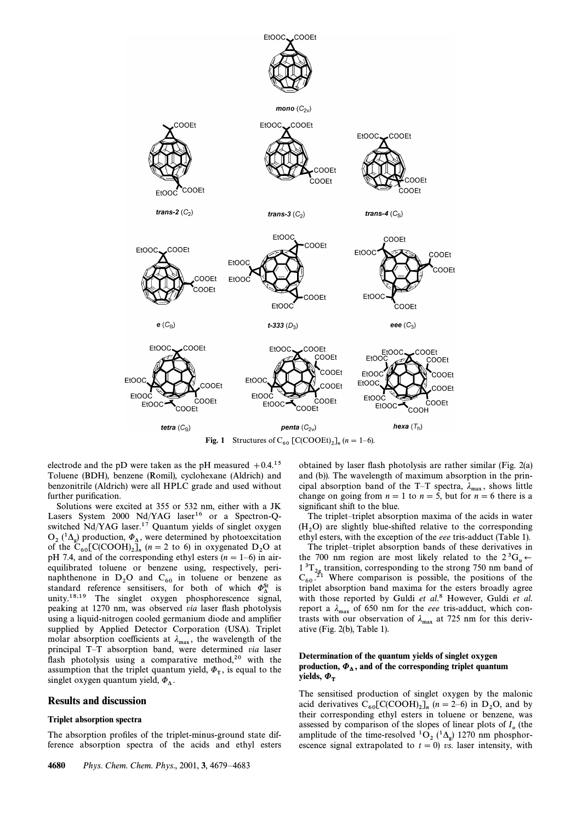

electrode and the pD were taken as the pH measured  $+0.4$ <sup>15</sup> Toluene (BDH), benzene (Romil), cyclohexane (Aldrich) and benzonitrile (Aldrich) were all HPLC grade and used without further purification.

Solutions were excited at 355 or 532 nm, either with a JK Lasers System 2000 Nd/YAG laser<sup>16</sup> or a Spectron-Qswitched Nd/YAG laser.<sup>17</sup> Quantum yields of singlet oxygen  $O_2(^{1}\Delta_g)$  production,  $\Phi_{\Delta}$ , were determined by photoexcitation of the C<sub>1</sub> C(COOH) 1 (n = 2 to 6) in expressed D<sub>0</sub> at of the  $C_{60}$ [C(COOH)<sub>2</sub>]<sub>n</sub> (n = 2 to 6) in oxygenated  $D_2O$  at  $D_1H$  7.4 and of the corresponding other (n = 1.6) in eight pH 7.4, and of the corresponding ethyl esters  $(n = 1-6)$  in airequilibrated toluene or benzene using, respectively, perinaphthenone in  $D_2O$  and  $C_{60}$  in toluene or benzene as <br>standard reference sensitisers, for both of which  $\Phi_{\Delta}^{St}$  is<br>unity  $18.19$ . The singlet exugan phembersessones signal standard reference sensitisers, for both of which  $\Phi_{\Lambda}^{\text{St}}$  is unity.<sup>18,19</sup> The singlet oxygen phosphorescence signal, peaking at 1270 nm, was observed via laser flash photolysis using a liquid-nitrogen cooled germanium diode and amplifier supplied by Applied Detector Corporation (USA). Triplet molar absorption coefficients at  $\lambda_{\text{max}}$ , the wavelength of the principal  $T$ . T absorption hand, were determined via local principal T-T absorption band, were determined via laser flash photolysis using a comparative method,<sup>20</sup> with the assumption that the triplet quantum yield,  $\Phi_T$ , is equal to the uncle over a unprim yield  $\Phi$ singlet oxygen quantum yield,  $\Phi_{\Delta}$ .

## Results and discussion

#### Triplet absorption spectra

The absorption profiles of the triplet-minus-ground state difference absorption spectra of the acids and ethyl esters obtained by laser flash photolysis are rather similar (Fig. 2(a) and (b)). The wavelength of maximum absorption in the principal absorption band of the T-T spectra,  $\lambda_{\text{max}}$ , shows little shapes on going from  $n = 1$  to  $n = 5$  but for  $n = 6$  there is a change on going from  $n = 1$  to  $n = 5$ , but for  $n = 6$  there is a significant shift to the blue.

The triplet–triplet absorption maxima of the acids in water  $(H_2O)$  are slightly blue-shifted relative to the corresponding  $2$  at the corresponding  $2$  at the corresponding  $2$  and  $2$  and  $2$  and  $2$  and  $2$  and  $2$  and  $2$  and  $2$  and  $2$  and  $2$  and  $2$  and  $2$  and  $2$  and  $2$ ethyl esters, with the exception of the eee tris-adduct (Table 1).

The triplet-triplet absorption bands of these derivatives in the 700 nm region are most likely related to the  $2^{3}G_{u} \leftarrow$ <br> $1^{3}T$ , transition corresponding to the strong 750 nm hand of  $1^{3}T_{2g}$  transition, corresponding to the strong 750 nm band of  $C_{21}$  Whore comparison is possible, the positions of the  $C_{60}$ <sup>21</sup> Where comparison is possible, the positions of the triplet epocation hand maxima for the exters broadly agreed triplet absorption band maxima for the esters broadly agree with those reported by Guldi et al.<sup>8</sup> However, Guldi et al. report a  $\lambda_{\text{max}}$  of 650 nm for the *eee* tris-adduct, which contrasts with our observation of  $\lambda_{\text{max}}$  at 725 nm for this derivative (Fig. 2(b), Table 1).

### Determination of the quantum yields of singlet oxygen production,  $\Phi_{\Lambda}$ , and of the corresponding triplet quantum yields,  $\Phi$ <sub>T</sub>

The sensitised production of singlet oxygen by the malonic acid derivatives  $C_{60} [C(COOH)_2]_n$  ( $n = 2-6$ ) in  $D_2O$ , and by their corresponding athyl esters in toluene or benzene, was their corresponding ethyl esters in toluene or benzene, was assessed by comparison of the slopes of linear plots of  $I<sub>o</sub>$  (the  $\alpha$  amplitude of the time-resolved  $10<sub>2</sub>$  ( $1\Delta_g$ ) 1270 nm phosphor-<br>amplitude of the time-resolved  $10<sub>2</sub>$  ( $1\Delta_g$ ) 1270 nm phosphorescence signal extrapolated to  $t = 0$ ) vs. laser intensity, with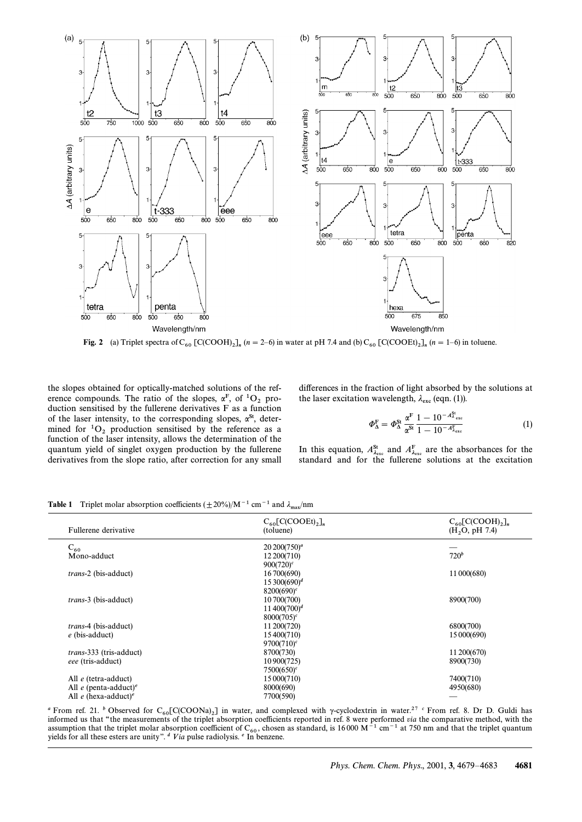

**Fig. 2** (a) Triplet spectra of  $C_{60}$  [C(COOH)<sub>2</sub>]<sub>n</sub> (n = 2–6) in water at pH 7.4 and (b)  $C_{60}$  [C(COOEt)<sub>2</sub>]<sub>n</sub> (n = 1–6) in toluene.

the slopes obtained for optically-matched solutions of the ref-<br>erence compounds. The ratio of the slopes,  $\alpha^F$ , of  ${}^1O_2$  production sensitised by the fullerene derivatives F as a function of the laser intensity, to the corresponding slopes,  $\alpha^{St}$ , deter-<br>mined for <sup>1</sup>O<sub>2</sub> production sensitised by the reference as a function of the laser intensity, allows the determination of the quantum yield of singlet oxygen production by the fullerene derivatives from the slope ratio, after correction for any small

differences in the fraction of light absorbed by the solutions at the laser excitation wavelength,  $\lambda_{\text{exc}}$  (eqn. (1)).

$$
\Phi_{\Delta}^{\mathrm{F}} = \Phi_{\Delta}^{\mathrm{St}} \frac{\alpha^{\mathrm{F}}}{\alpha^{\mathrm{St}}} \frac{1 - 10^{-A_{\lambda_{\mathrm{exc}}}^{\mathrm{St}}}}{1 - 10^{-A_{\lambda_{\mathrm{exc}}}^{\mathrm{St}}}}
$$
(1)

In this equation,  $A_{\lambda_{\text{esc}}}^{\text{St}}$  and  $A_{\lambda_{\text{exc}}}^{\text{F}}$  are the absorbances for the standard and for the full<br>standard and for the full<br>standard standard and for the fullerene solutions at the excitation

| Fullerene derivative                            | $C_{60}$ [C(COOEt) <sub>2</sub> ] <sub>n</sub><br>(toluene) | $C_{60}$ [C(COOH) <sub>2</sub> ] <sub>n</sub><br>(H, O, pH 7.4) |
|-------------------------------------------------|-------------------------------------------------------------|-----------------------------------------------------------------|
| $C_{60}$                                        | $20\,200(750)^a$                                            |                                                                 |
| Mono-adduct                                     | 12 200(710)                                                 | $720^b$                                                         |
|                                                 | $900(720)^c$                                                |                                                                 |
| <i>trans-2</i> (bis-adduct)                     | 16 700(690)                                                 | 11 000(680)                                                     |
|                                                 | $15\,300(690)^d$                                            |                                                                 |
|                                                 | $8200(690)^c$                                               |                                                                 |
| <i>trans-3</i> (bis-adduct)                     | 10 700(700)                                                 | 8900(700)                                                       |
|                                                 | $11\,400(700)^d$                                            |                                                                 |
|                                                 | $8000(705)^c$                                               |                                                                 |
| <i>trans</i> -4 (bis-adduct)                    | 11 200(720)                                                 | 6800(700)                                                       |
| $e$ (bis-adduct)                                | 15 400 (710)                                                | 15 000(690)                                                     |
|                                                 | $9700(710)^c$                                               |                                                                 |
| <i>trans</i> -333 (tris-adduct)                 | 8700(730)                                                   | 11 200(670)                                                     |
| eee (tris-adduct)                               | 10 900 (725)                                                | 8900(730)                                                       |
|                                                 | $7500(650)^c$                                               |                                                                 |
| All $e$ (tetra-adduct)                          | 15 000 (710)                                                | 7400(710)                                                       |
| All $e$ (penta-adduct) <sup>e</sup>             | 8000(690)                                                   | 4950(680)                                                       |
| All $e$ (hexa-adduct) <sup><math>e</math></sup> | 7700(590)                                                   |                                                                 |

**Table 1** Triplet molar absorption coefficients  $(\pm 20\%)/M^{-1}$  cm<sup>-1</sup> and  $\lambda_{\text{max}}/nm$ 

<sup>a</sup> From ref. 21. <sup>b</sup> Observed for C<sub>60</sub>[C(COONa)<sub>2</sub>] in water, and complexed with y-cyclodextrin in water.<sup>27</sup> <sup>c</sup> From ref. 8. Dr D. Guldi has 60 informed us that "the measurements of the triplet absorption coefficients informed us that "the measurements of the triplet absorption coefficients reported in ref. 8 were performed via the comparative method, with the assumption that the triplet molar absorption coefficient of  $C_{60}$ , chosen as standard, is 16000 M<sup>-1</sup> cm<sup>-1</sup> at 750 nm and that the triplet quantum vields for all these esters are unity" <sup>4</sup> Via pulse radiolysis <sup>e</sup>. In yields for all these esters are unity".  $\alpha$  V ia pulse radiolysis.  $\epsilon$  In benzene.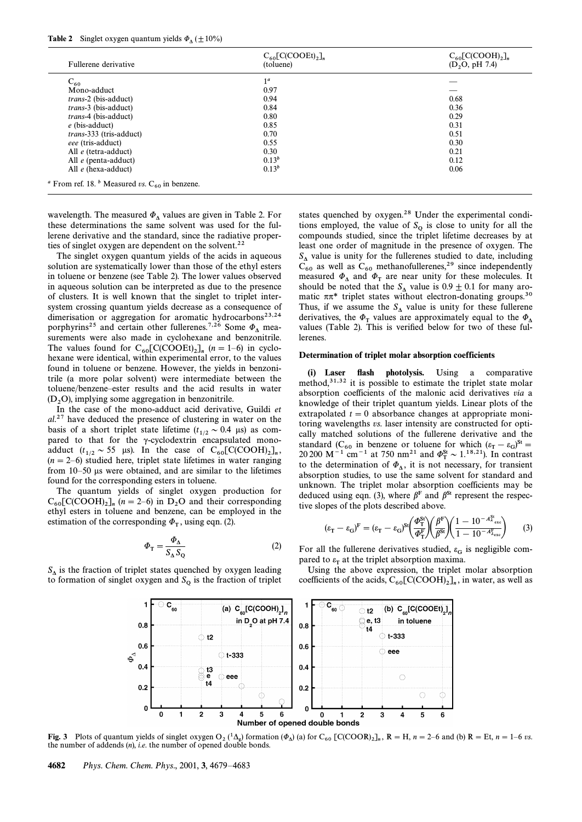## **Table 2** Singlet oxygen quantum yields  $\Phi_{\Lambda} (\pm 10\%)$

| Fullerene derivative            | $C_{60}$ [C(COOEt) <sub>2</sub> ] <sub>n</sub><br>(toluene) | $C_{60}$ [C(COOH) <sub>2</sub> ] <sub>n</sub><br>(D <sub>2</sub> O, pH 7.4) |
|---------------------------------|-------------------------------------------------------------|-----------------------------------------------------------------------------|
| $C_{60}$                        | 1 <sup>a</sup>                                              |                                                                             |
| Mono-adduct                     | 0.97                                                        |                                                                             |
| <i>trans-2</i> (bis-adduct)     | 0.94                                                        | 0.68                                                                        |
| <i>trans-3</i> (bis-adduct)     | 0.84                                                        | 0.36                                                                        |
| <i>trans-4</i> (bis-adduct)     | 0.80                                                        | 0.29                                                                        |
| $e$ (bis-adduct)                | 0.85                                                        | 0.31                                                                        |
| <i>trans</i> -333 (tris-adduct) | 0.70                                                        | 0.51                                                                        |
| eee (tris-adduct)               | 0.55                                                        | 0.30                                                                        |
| All $e$ (tetra-adduct)          | 0.30                                                        | 0.21                                                                        |
| All e (penta-adduct)            | $0.13^{b}$                                                  | 0.12                                                                        |
| All $e$ (hexa-adduct)           | $0.13^{b}$                                                  | 0.06                                                                        |

wavelength. The measured  $\Phi_{\Delta}$  values are given in Table 2. For these determinations the same solvent was used for the fullerene derivative and the standard, since the radiative properties of singlet oxygen are dependent on the solvent.<sup>22</sup>

The singlet oxygen quantum yields of the acids in aqueous solution are systematically lower than those of the ethyl esters in toluene or benzene (see Table 2). The lower values observed in aqueous solution can be interpreted as due to the presence of clusters. It is well known that the singlet to triplet intersystem crossing quantum yields decrease as a consequence of dimerisation or aggregation for aromatic hydrocarbons<sup>23,24</sup> porphyrins<sup>25</sup> and certain other fullerenes.<sup>7,26</sup> Some  $\Phi_{\Lambda}$  measurements were also made in cyclohexane and benzonitrile. The values found for  $C_{60} [C(COOE)]_n$  ( $n = 1-6$ ) in cyclo-<br>here we identical within experimental error to the values hexane were identical, within experimental error, to the values found in toluene or benzene. However, the yields in benzonitrile (a more polar solvent) were intermediate between the toluene/benzene–ester results and the acid results in water  $(D_2O)$ , implying some aggregation in benzonitrile.

In the case of the mono-adduct acid derivative, Guildi et  $al.^{27}$  have deduced the presence of clustering in water on the basis of a short triplet state lifetime  $(t_{1/2} \sim 0.4 \text{ }\mu\text{s})$  as compared to that for the  $\gamma$ -cyclodextrin encapsulated monoadduct  $(t_{1/2} \sim 55 \text{ }\mu\text{s})$ . In the case of  $C_{60}[\text{C(COOH)}_{2}]_n$ ,<br> $(t_{1}-2, 6)$  studied beso triplet state lifetimes in water ranging  $(n = 2-6)$  studied here, triplet state lifetimes in water ranging from  $10-50$  µs were obtained, and are similar to the lifetimes found for the corresponding esters in toluene.

The quantum yields of singlet oxygen production for  $C_{60}$ [C(COOH)<sub>2</sub>]<sub>n</sub> (n = 2–6) in D<sub>2</sub>O and their corresponding 6their corresponding 60. ethyl esters in toluene and benzene, can be employed in the estimation of the corresponding  $\Phi_T$ , using eqn. (2).

$$
\Phi_{\rm T} = \frac{\Phi_{\Lambda}}{S_{\Lambda} S_{\rm Q}}\tag{2}
$$

 $S_{\Delta}$  is the fraction of triplet states quenched by oxygen leading to formation of singlet oxygen and  $S_Q$  is the fraction of triplet

states quenched by oxygen.28 Under the experimental conditions employed, the value of  $S_Q$  is close to unity for all the compounds studied, since the triplet lifetime decreases by at least one order of magnitude in the presence of oxygen. The  $S_{\text{A}}$  value is unity for the fullerenes studied to date, including  $C_{60}$  as well as  $C_{60}$  methanofullerenes,<sup>29</sup> since independently measured  $\Phi_{\Lambda}$  and  $\Phi_{\text{T}}$  are near unity for these molecules. It<br>should be noted that the  $S_{\Lambda}$  value is  $0.9 \pm 0.1$  for many aro-<br>matic  $\pi \pi^*$  triplet states without electron-donating groups.<sup>30</sup> Thus, if we assume the  $S_{\Delta}$  value is unity for these fullerene derivatives, the  $\Phi_T$  values are approximately equal to the  $\Phi_{\Delta}$  values (Table 2). This is verified below for two of these fullerenes.

#### Determination of triplet molar absorption coefficients

(i) Laser flash photolysis. Using a comparative method,<sup>31,32</sup> it is possible to estimate the triplet state molar absorption coefficients of the malonic acid derivatives via a knowledge of their triplet quantum yields. Linear plots of the extrapolated  $t = 0$  absorbance changes at appropriate monitoring wavelengths vs. laser intensity are constructed for optically matched solutions of the fullerene derivative and the standard (C<sub>60</sub> in benzene or toluene for which  $(\varepsilon_T - \varepsilon_G)^{St} =$ <br>20.200 M<sup>-1</sup> cm<sup>-1</sup> at 750 nm<sup>21</sup> and  $\sigma^{St}$ , 1<sup>18,21</sup>). In contract 20 200  $M^{-1}$  cm<sup>-1</sup> at 750 nm<sup>21</sup> and  $\Phi_{\text{T}}^{\text{St}} \sim 1.18,21$ ). In contrast to the determination of  $\Phi_{\text{eff}}$  it is not necessary for transient to the determination of  $\Phi_{\Delta}$ , it is not necessary, for transient observation studies, to use the same solvent for standard and absorption studies, to use the same solvent for standard and unknown. The triplet molar absorption coefficients may be deduced using eqn. (3), where  $\beta^F$  and  $\beta^{St}$  represent the respec-

tive slopes of the plots described above.  
\n
$$
(\varepsilon_{\rm T} - \varepsilon_{\rm G})^{\rm F} = (\varepsilon_{\rm T} - \varepsilon_{\rm G})^{\rm St} \left( \frac{\Phi_{\rm T}^{\rm St}}{\Phi_{\rm T}^{\rm F}} \right) \left( \frac{\beta^{\rm F}}{\beta^{\rm St}} \right) \left( \frac{1 - 10^{-A_{\varepsilon_{\rm exc}}^{\rm St}}}{1 - 10^{-A_{\varepsilon_{\rm exc}}^{\rm F}}} \right)
$$
(3)

For all the fullerene derivatives studied,  $\varepsilon_G$  is negligible compared to  $\varepsilon_{\rm r}$  at the triplet absorption maxima.

Using the above expression, the triplet molar absorption coefficients of the acids,  $C_{60}$ [C(COOH)<sub>2</sub>]<sub>n</sub>, in water, as well as



**Fig. 3** Plots of quantum yields of singlet oxygen  $O_2(^1\Delta_g)$  formation ( $\Phi_\Delta$ ) (a) for  $C_{60}$  [C(COOR)<sub>2</sub>]<sub>n</sub>,  $R = H$ ,  $n = 2-6$  and (b)  $R = Et$ ,  $n = 1-6$  vs. 2 the number of opened double bonds the number of addends  $(n)$ , *i.e.* the number of opened double bonds.